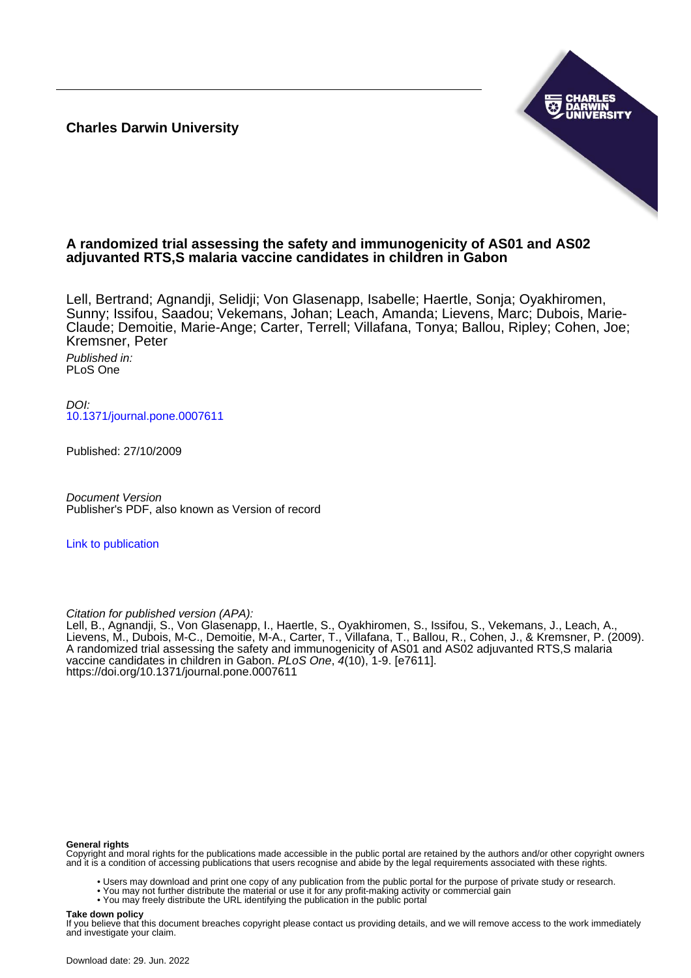**Charles Darwin University**



# **A randomized trial assessing the safety and immunogenicity of AS01 and AS02 adjuvanted RTS,S malaria vaccine candidates in children in Gabon**

Lell, Bertrand; Agnandji, Selidji; Von Glasenapp, Isabelle; Haertle, Sonja; Oyakhiromen, Sunny; Issifou, Saadou; Vekemans, Johan; Leach, Amanda; Lievens, Marc; Dubois, Marie-Claude; Demoitie, Marie-Ange; Carter, Terrell; Villafana, Tonya; Ballou, Ripley; Cohen, Joe; Kremsner, Peter

Published in: PLoS One

DOI: [10.1371/journal.pone.0007611](https://doi.org/10.1371/journal.pone.0007611)

Published: 27/10/2009

Document Version Publisher's PDF, also known as Version of record

[Link to publication](https://researchers.cdu.edu.au/en/publications/39a2e93d-f004-464b-9c1d-65ddf9e82283)

Citation for published version (APA):

Lell, B., Agnandji, S., Von Glasenapp, I., Haertle, S., Oyakhiromen, S., Issifou, S., Vekemans, J., Leach, A., Lievens, M., Dubois, M-C., Demoitie, M-A., Carter, T., Villafana, T., Ballou, R., Cohen, J., & Kremsner, P. (2009). A randomized trial assessing the safety and immunogenicity of AS01 and AS02 adjuvanted RTS,S malaria vaccine candidates in children in Gabon. PLoS One, 4(10), 1-9. [e7611]. <https://doi.org/10.1371/journal.pone.0007611>

#### **General rights**

Copyright and moral rights for the publications made accessible in the public portal are retained by the authors and/or other copyright owners and it is a condition of accessing publications that users recognise and abide by the legal requirements associated with these rights.

- Users may download and print one copy of any publication from the public portal for the purpose of private study or research.
- You may not further distribute the material or use it for any profit-making activity or commercial gain
- You may freely distribute the URL identifying the publication in the public portal

#### **Take down policy**

If you believe that this document breaches copyright please contact us providing details, and we will remove access to the work immediately and investigate your claim.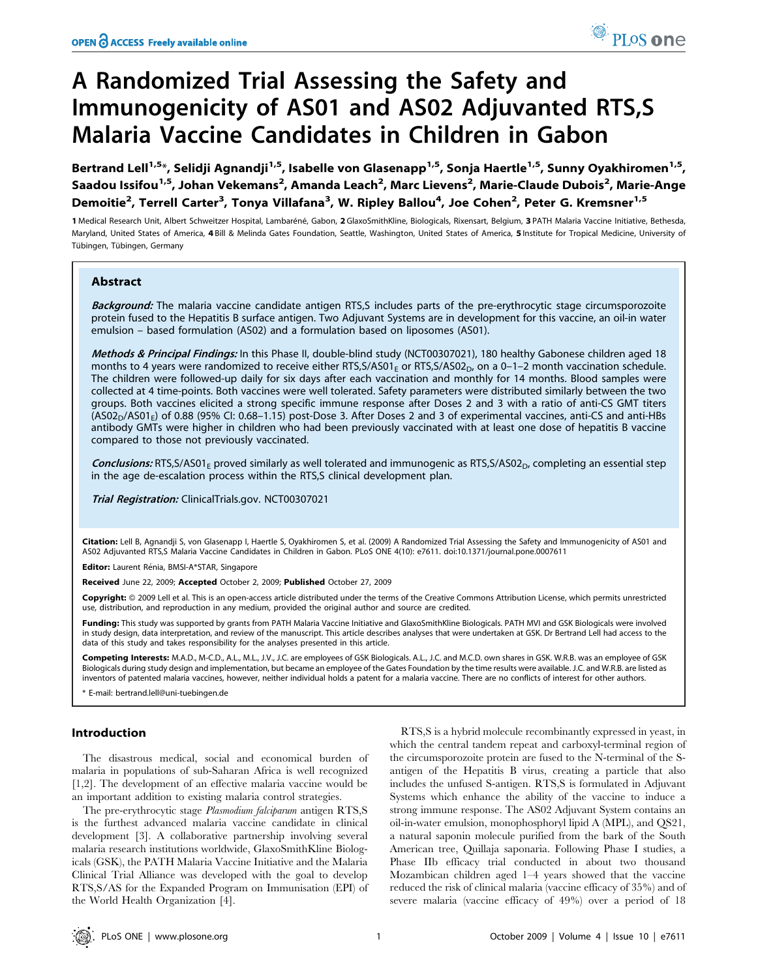# A Randomized Trial Assessing the Safety and Immunogenicity of AS01 and AS02 Adjuvanted RTS,S Malaria Vaccine Candidates in Children in Gabon

Bertrand Lell<sup>1,5\*</sup>, Selidji Agnandji<sup>1,5</sup>, Isabelle von Glasenapp<sup>1,5</sup>, Sonja Haertle<sup>1,5</sup>, Sunny Oyakhiromen<sup>1,5</sup>, Saadou Issifou<sup>1,5</sup>, Johan Vekemans<sup>2</sup>, Amanda Leach<sup>2</sup>, Marc Lievens<sup>2</sup>, Marie-Claude Dubois<sup>2</sup>, Marie-Ange Demoitie<sup>2</sup>, Terrell Carter<sup>3</sup>, Tonya Villafana<sup>3</sup>, W. Ripley Ballou<sup>4</sup>, Joe Cohen<sup>2</sup>, Peter G. Kremsner<sup>1,5</sup>

1 Medical Research Unit, Albert Schweitzer Hospital, Lambaréné, Gabon, 2 GlaxoSmithKline, Biologicals, Rixensart, Belgium, 3 PATH Malaria Vaccine Initiative, Bethesda, Maryland, United States of America, 4 Bill & Melinda Gates Foundation, Seattle, Washington, United States of America, 5 Institute for Tropical Medicine, University of Tübingen, Tübingen, Germany

# Abstract

**Background:** The malaria vaccine candidate antigen RTS,S includes parts of the pre-erythrocytic stage circumsporozoite protein fused to the Hepatitis B surface antigen. Two Adjuvant Systems are in development for this vaccine, an oil-in water emulsion – based formulation (AS02) and a formulation based on liposomes (AS01).

Methods & Principal Findings: In this Phase II, double-blind study (NCT00307021), 180 healthy Gabonese children aged 18 months to 4 years were randomized to receive either RTS,S/AS01<sub>E</sub> or RTS,S/AS02<sub>D</sub>, on a 0–1–2 month vaccination schedule. The children were followed-up daily for six days after each vaccination and monthly for 14 months. Blood samples were collected at 4 time-points. Both vaccines were well tolerated. Safety parameters were distributed similarly between the two groups. Both vaccines elicited a strong specific immune response after Doses 2 and 3 with a ratio of anti-CS GMT titers  $(ASO2_D/ASO1_E)$  of 0.88 (95% CI: 0.68–1.15) post-Dose 3. After Doses 2 and 3 of experimental vaccines, anti-CS and anti-HBs antibody GMTs were higher in children who had been previously vaccinated with at least one dose of hepatitis B vaccine compared to those not previously vaccinated.

**Conclusions:** RTS, S/AS01<sub>E</sub> proved similarly as well tolerated and immunogenic as RTS, S/AS02<sub>D</sub>, completing an essential step in the age de-escalation process within the RTS,S clinical development plan.

Trial Registration: ClinicalTrials.gov. NCT00307021

**Citation:** Lell B, Agnandji S, von Glasenapp I, Haertle S, Oyakhiromen S, et al. (2009) A Randomized Trial Assessing the Safety and Immunogenicity of AS01 and<br>AS02 Adjuvanted RTS,S Malaria Vaccine Candidates in Children i

ditor: Laurent Rénia, BMSI-A\*STAR, Singapore

Received June 22, 2009; Accepted October 2, 2009; Published October 27, 2009

Copyright: @ 2009 Lell et al. This is an open-access article distributed under the terms of the Creative Commons Attribution License, which permits unrestricted use, distribution, and reproduction in any medium, provided the original author and source are credited.

Funding: This study was supported by grants from PATH Malaria Vaccine Initiative and GlaxoSmithKline Biologicals. PATH MVI and GSK Biologicals were involved in study design, data interpretation, and review of the manuscript. This article describes analyses that were undertaken at GSK. Dr Bertrand Lell had access to the data of this study and takes responsibility for the analyses presented in this article.

Competing Interests: M.A.D., M-C.D., A.L., M.L., J.V., J.C. are employees of GSK Biologicals. A.L., J.C. and M.C.D. own shares in GSK. W.R.B. was an employee of GSK Biologicals during study design and implementation, but became an employee of the Gates Foundation by the time results were available. J.C. and W.R.B. are listed as inventors of patented malaria vaccines, however, neither individual holds a patent for a malaria vaccine. There are no conflicts of interest for other authors.

\* E-mail: bertrand.lell@uni-tuebingen.de

# Introduction

The disastrous medical, social and economical burden of malaria in populations of sub-Saharan Africa is well recognized [1,2]. The development of an effective malaria vaccine would be an important addition to existing malaria control strategies.

The pre-erythrocytic stage *Plasmodium falciparum* antigen RTS,S is the furthest advanced malaria vaccine candidate in clinical development [3]. A collaborative partnership involving several malaria research institutions worldwide, GlaxoSmithKline Biologicals (GSK), the PATH Malaria Vaccine Initiative and the Malaria Clinical Trial Alliance was developed with the goal to develop RTS,S/AS for the Expanded Program on Immunisation (EPI) of the World Health Organization [4].

RTS,S is a hybrid molecule recombinantly expressed in yeast, in which the central tandem repeat and carboxyl-terminal region of the circumsporozoite protein are fused to the N-terminal of the Santigen of the Hepatitis B virus, creating a particle that also includes the unfused S-antigen. RTS,S is formulated in Adjuvant Systems which enhance the ability of the vaccine to induce a strong immune response. The AS02 Adjuvant System contains an oil-in-water emulsion, monophosphoryl lipid A (MPL), and QS21, a natural saponin molecule purified from the bark of the South American tree, Quillaja saponaria. Following Phase I studies, a Phase IIb efficacy trial conducted in about two thousand Mozambican children aged 1–4 years showed that the vaccine reduced the risk of clinical malaria (vaccine efficacy of 35%) and of severe malaria (vaccine efficacy of 49%) over a period of 18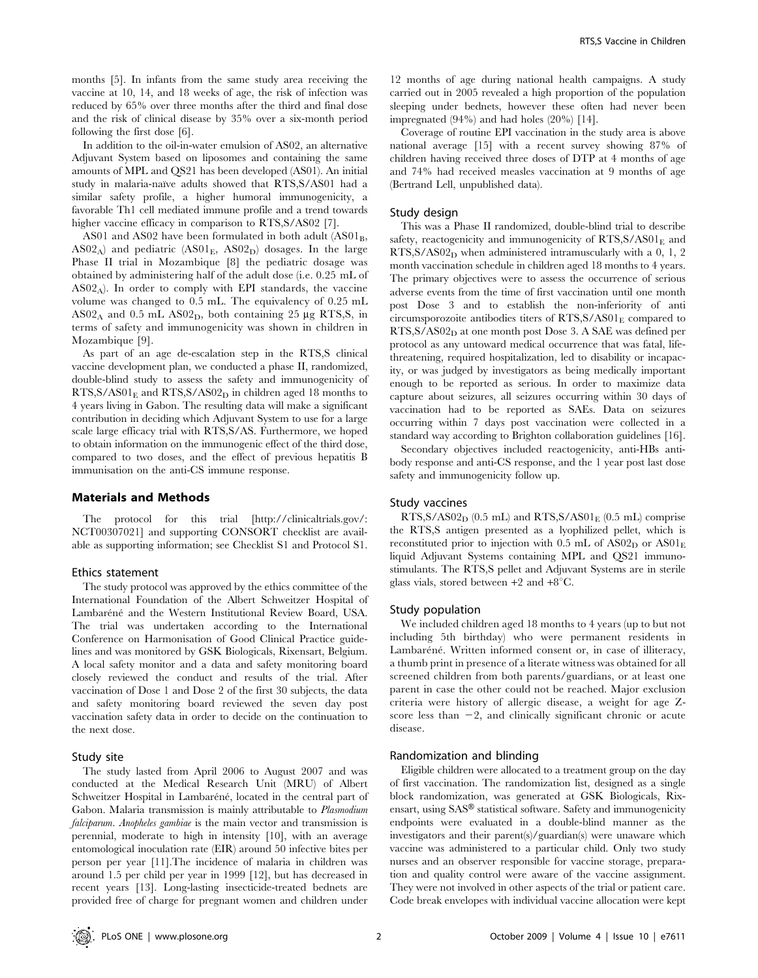months [5]. In infants from the same study area receiving the vaccine at 10, 14, and 18 weeks of age, the risk of infection was reduced by 65% over three months after the third and final dose and the risk of clinical disease by 35% over a six-month period following the first dose [6].

In addition to the oil-in-water emulsion of AS02, an alternative Adjuvant System based on liposomes and containing the same amounts of MPL and QS21 has been developed (AS01). An initial study in malaria-naïve adults showed that RTS, S/AS01 had a similar safety profile, a higher humoral immunogenicity, a favorable Th1 cell mediated immune profile and a trend towards higher vaccine efficacy in comparison to RTS, S/AS02 [7].

AS01 and AS02 have been formulated in both adult  $(AS01_B,$ AS02<sub>A</sub>) and pediatric (AS01<sub>E</sub>, AS02<sub>D</sub>) dosages. In the large Phase II trial in Mozambique [8] the pediatric dosage was obtained by administering half of the adult dose (i.e. 0.25 mL of  $AS02_A$ ). In order to comply with EPI standards, the vaccine volume was changed to 0.5 mL. The equivalency of 0.25 mL  $AS02_A$  and 0.5 mL  $AS02_D$ , both containing 25 µg RTS,S, in terms of safety and immunogenicity was shown in children in Mozambique [9].

As part of an age de-escalation step in the RTS,S clinical vaccine development plan, we conducted a phase II, randomized, double-blind study to assess the safety and immunogenicity of  $RTS, S/AS01<sub>E</sub>$  and  $RTS, S/AS02<sub>D</sub>$  in children aged 18 months to 4 years living in Gabon. The resulting data will make a significant contribution in deciding which Adjuvant System to use for a large scale large efficacy trial with RTS,S/AS. Furthermore, we hoped to obtain information on the immunogenic effect of the third dose, compared to two doses, and the effect of previous hepatitis B immunisation on the anti-CS immune response.

# Materials and Methods

The protocol for this trial [http://clinicaltrials.gov/: NCT00307021] and supporting CONSORT checklist are available as supporting information; see Checklist S1 and Protocol S1.

#### Ethics statement

The study protocol was approved by the ethics committee of the International Foundation of the Albert Schweitzer Hospital of Lambaréné and the Western Institutional Review Board, USA. The trial was undertaken according to the International Conference on Harmonisation of Good Clinical Practice guidelines and was monitored by GSK Biologicals, Rixensart, Belgium. A local safety monitor and a data and safety monitoring board closely reviewed the conduct and results of the trial. After vaccination of Dose 1 and Dose 2 of the first 30 subjects, the data and safety monitoring board reviewed the seven day post vaccination safety data in order to decide on the continuation to the next dose.

#### Study site

The study lasted from April 2006 to August 2007 and was conducted at the Medical Research Unit (MRU) of Albert Schweitzer Hospital in Lambaréné, located in the central part of Gabon. Malaria transmission is mainly attributable to *Plasmodium* falciparum. Anopheles gambiae is the main vector and transmission is perennial, moderate to high in intensity [10], with an average entomological inoculation rate (EIR) around 50 infective bites per person per year [11].The incidence of malaria in children was around 1.5 per child per year in 1999 [12], but has decreased in recent years [13]. Long-lasting insecticide-treated bednets are provided free of charge for pregnant women and children under

12 months of age during national health campaigns. A study carried out in 2005 revealed a high proportion of the population sleeping under bednets, however these often had never been impregnated (94%) and had holes (20%) [14].

Coverage of routine EPI vaccination in the study area is above national average [15] with a recent survey showing 87% of children having received three doses of DTP at 4 months of age and 74% had received measles vaccination at 9 months of age (Bertrand Lell, unpublished data).

#### Study design

This was a Phase II randomized, double-blind trial to describe safety, reactogenicity and immunogenicity of  $RTS$ , $S/AS01<sub>E</sub>$  and  $RTS, S/AS02_D$  when administered intramuscularly with a 0, 1, 2 month vaccination schedule in children aged 18 months to 4 years. The primary objectives were to assess the occurrence of serious adverse events from the time of first vaccination until one month post Dose 3 and to establish the non-inferiority of anti circumsporozoite antibodies titers of  $RTS$ , $S/AS01<sub>E</sub>$  compared to  $RTS, S/AS02_D$  at one month post Dose 3. A SAE was defined per protocol as any untoward medical occurrence that was fatal, lifethreatening, required hospitalization, led to disability or incapacity, or was judged by investigators as being medically important enough to be reported as serious. In order to maximize data capture about seizures, all seizures occurring within 30 days of vaccination had to be reported as SAEs. Data on seizures occurring within 7 days post vaccination were collected in a standard way according to Brighton collaboration guidelines [16].

Secondary objectives included reactogenicity, anti-HBs antibody response and anti-CS response, and the 1 year post last dose safety and immunogenicity follow up.

#### Study vaccines

 $RTS, S/AS02_D$  (0.5 mL) and  $RTS, S/AS01_E$  (0.5 mL) comprise the RTS,S antigen presented as a lyophilized pellet, which is reconstituted prior to injection with 0.5 mL of  $AS02<sub>D</sub>$  or  $AS01<sub>E</sub>$ liquid Adjuvant Systems containing MPL and QS21 immunostimulants. The RTS,S pellet and Adjuvant Systems are in sterile glass vials, stored between  $+2$  and  $+8^{\circ}$ C.

#### Study population

We included children aged 18 months to 4 years (up to but not including 5th birthday) who were permanent residents in Lambaréné. Written informed consent or, in case of illiteracy, a thumb print in presence of a literate witness was obtained for all screened children from both parents/guardians, or at least one parent in case the other could not be reached. Major exclusion criteria were history of allergic disease, a weight for age Zscore less than  $-2$ , and clinically significant chronic or acute disease.

# Randomization and blinding

Eligible children were allocated to a treatment group on the day of first vaccination. The randomization list, designed as a single block randomization, was generated at GSK Biologicals, Rixensart, using SAS<sup>®</sup> statistical software. Safety and immunogenicity endpoints were evaluated in a double-blind manner as the investigators and their parent(s)/guardian(s) were unaware which vaccine was administered to a particular child. Only two study nurses and an observer responsible for vaccine storage, preparation and quality control were aware of the vaccine assignment. They were not involved in other aspects of the trial or patient care. Code break envelopes with individual vaccine allocation were kept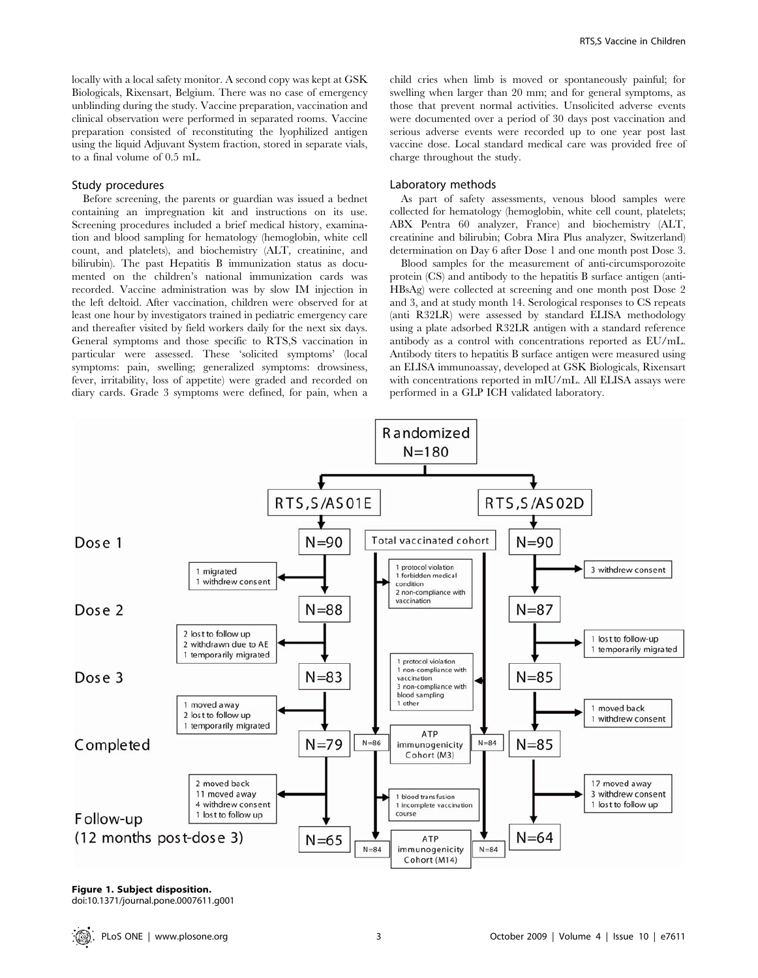#### Study procedures

Before screening, the parents or guardian was issued a bednet containing an impregnation kit and instructions on its use. Screening procedures included a brief medical history, examination and blood sampling for hematology (hemoglobin, white cell count, and platelets), and biochemistry (ALT, creatinine, and bilirubin). The past Hepatitis B immunization status as documented on the children's national immunization cards was recorded. Vaccine administration was by slow IM injection in the left deltoid. After vaccination, children were observed for at least one hour by investigators trained in pediatric emergency care and thereafter visited by field workers daily for the next six days. General symptoms and those specific to RTS,S vaccination in particular were assessed. These 'solicited symptoms' (local symptoms: pain, swelling; generalized symptoms: drowsiness, fever, irritability, loss of appetite) were graded and recorded on diary cards. Grade 3 symptoms were defined, for pain, when a child cries when limb is moved or spontaneously painful; for swelling when larger than 20 mm; and for general symptoms, as those that prevent normal activities. Unsolicited adverse events were documented over a period of 30 days post vaccination and serious adverse events were recorded up to one year post last vaccine dose. Local standard medical care was provided free of charge throughout the study.

#### Laboratory methods

As part of safety assessments, venous blood samples were collected for hematology (hemoglobin, white cell count, platelets; ABX Pentra 60 analyzer, France) and biochemistry (ALT, creatinine and bilirubin; Cobra Mira Plus analyzer, Switzerland) determination on Day 6 after Dose 1 and one month post Dose 3.

Blood samples for the measurement of anti-circumsporozoite protein (CS) and antibody to the hepatitis B surface antigen (anti-HBsAg) were collected at screening and one month post Dose 2 and 3, and at study month 14. Serological responses to CS repeats (anti R32LR) were assessed by standard ELISA methodology using a plate adsorbed R32LR antigen with a standard reference antibody as a control with concentrations reported as EU/mL. Antibody titers to hepatitis B surface antigen were measured using an ELISA immunoassay, developed at GSK Biologicals, Rixensart with concentrations reported in mIU/mL. All ELISA assays were performed in a GLP ICH validated laboratory.



# Figure 1. Subject disposition.

doi:10.1371/journal.pone.0007611.g001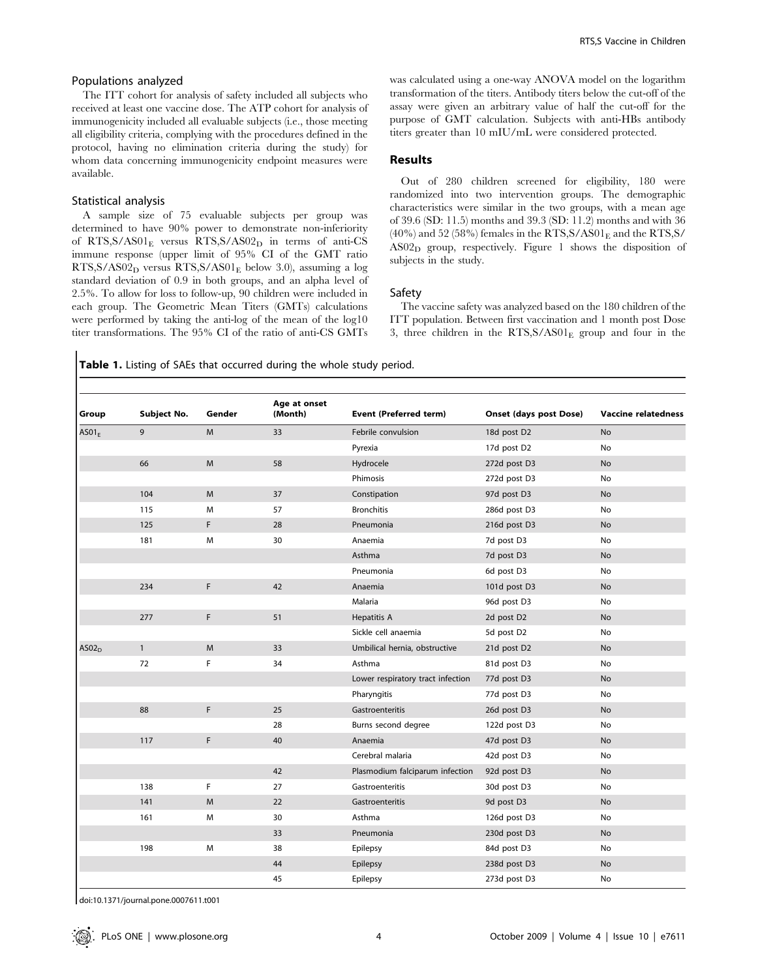# Populations analyzed

The ITT cohort for analysis of safety included all subjects who received at least one vaccine dose. The ATP cohort for analysis of immunogenicity included all evaluable subjects (i.e., those meeting all eligibility criteria, complying with the procedures defined in the protocol, having no elimination criteria during the study) for whom data concerning immunogenicity endpoint measures were available.

## Statistical analysis

A sample size of 75 evaluable subjects per group was determined to have 90% power to demonstrate non-inferiority of  $RTS$ , $S/AS01$ <sub>E</sub> versus  $RTS$ , $S/AS02$ <sub>D</sub> in terms of anti-CS immune response (upper limit of 95% CI of the GMT ratio  $RTS, S/AS02_D$  versus  $RTS, S/AS01_E$  below 3.0), assuming a log standard deviation of 0.9 in both groups, and an alpha level of 2.5%. To allow for loss to follow-up, 90 children were included in each group. The Geometric Mean Titers (GMTs) calculations were performed by taking the anti-log of the mean of the log10 titer transformations. The 95% CI of the ratio of anti-CS GMTs was calculated using a one-way ANOVA model on the logarithm transformation of the titers. Antibody titers below the cut-off of the assay were given an arbitrary value of half the cut-off for the purpose of GMT calculation. Subjects with anti-HBs antibody titers greater than 10 mIU/mL were considered protected.

# Results

Out of 280 children screened for eligibility, 180 were randomized into two intervention groups. The demographic characteristics were similar in the two groups, with a mean age of 39.6 (SD: 11.5) months and 39.3 (SD: 11.2) months and with 36  $(40\%)$  and 52 (58%) females in the RTS, S/AS01<sub>E</sub> and the RTS, S/  $AS02<sub>D</sub>$  group, respectively. Figure 1 shows the disposition of subjects in the study.

## Safety

The vaccine safety was analyzed based on the 180 children of the ITT population. Between first vaccination and 1 month post Dose 3, three children in the  $RTS$ ,  $S/AS01<sub>E</sub>$  group and four in the

Table 1. Listing of SAEs that occurred during the whole study period.

| Group             | Subject No.    | Gender | Age at onset<br>(Month) | Event (Preferred term)            | <b>Onset (days post Dose)</b> | <b>Vaccine relatedness</b> |
|-------------------|----------------|--------|-------------------------|-----------------------------------|-------------------------------|----------------------------|
| AS01 <sub>F</sub> | $\overline{9}$ | M      | 33                      | Febrile convulsion                | 18d post D2                   | <b>No</b>                  |
|                   |                |        |                         | Pyrexia                           | 17d post D2                   | <b>No</b>                  |
|                   | 66             | M      | 58                      | Hydrocele                         | 272d post D3                  | No                         |
|                   |                |        |                         | Phimosis                          | 272d post D3                  | No                         |
|                   | 104            | M      | 37                      | Constipation                      | 97d post D3                   | No                         |
|                   | 115            | M      | 57                      | <b>Bronchitis</b>                 | 286d post D3                  | No                         |
|                   | 125            | F.     | 28                      | Pneumonia                         | 216d post D3                  | <b>No</b>                  |
|                   | 181            | M      | 30                      | Anaemia                           | 7d post D3                    | No                         |
|                   |                |        |                         | Asthma                            | 7d post D3                    | <b>No</b>                  |
|                   |                |        |                         | Pneumonia                         | 6d post D3                    | No                         |
|                   | 234            | F.     | 42                      | Anaemia                           | 101d post D3                  | <b>No</b>                  |
|                   |                |        |                         | Malaria                           | 96d post D3                   | <b>No</b>                  |
|                   | 277            | F      | 51                      | Hepatitis A                       | 2d post D2                    | No                         |
|                   |                |        |                         | Sickle cell anaemia               | 5d post D2                    | No                         |
| $AS02_D$          | $\mathbf{1}$   | M      | 33                      | Umbilical hernia, obstructive     | 21d post D2                   | <b>No</b>                  |
|                   | 72             | F      | 34                      | Asthma                            | 81d post D3                   | <b>No</b>                  |
|                   |                |        |                         | Lower respiratory tract infection | 77d post D3                   | No                         |
|                   |                |        |                         | Pharyngitis                       | 77d post D3                   | No                         |
|                   | 88             | F      | 25                      | Gastroenteritis                   | 26d post D3                   | No                         |
|                   |                |        | 28                      | Burns second degree               | 122d post D3                  | <b>No</b>                  |
|                   | 117            | F      | 40                      | Anaemia                           | 47d post D3                   | <b>No</b>                  |
|                   |                |        |                         | Cerebral malaria                  | 42d post D3                   | <b>No</b>                  |
|                   |                |        | 42                      | Plasmodium falciparum infection   | 92d post D3                   | No                         |
|                   | 138            | F      | 27                      | Gastroenteritis                   | 30d post D3                   | No                         |
|                   | 141            | M      | 22                      | Gastroenteritis                   | 9d post D3                    | <b>No</b>                  |
|                   | 161            | M      | 30                      | Asthma                            | 126d post D3                  | No                         |
|                   |                |        | 33                      | Pneumonia                         | 230d post D3                  | <b>No</b>                  |
|                   | 198            | M      | 38                      | Epilepsy                          | 84d post D3                   | No                         |
|                   |                |        | 44                      | Epilepsy                          | 238d post D3                  | <b>No</b>                  |
|                   |                |        | 45                      | Epilepsy                          | 273d post D3                  | No                         |

doi:10.1371/journal.pone.0007611.t001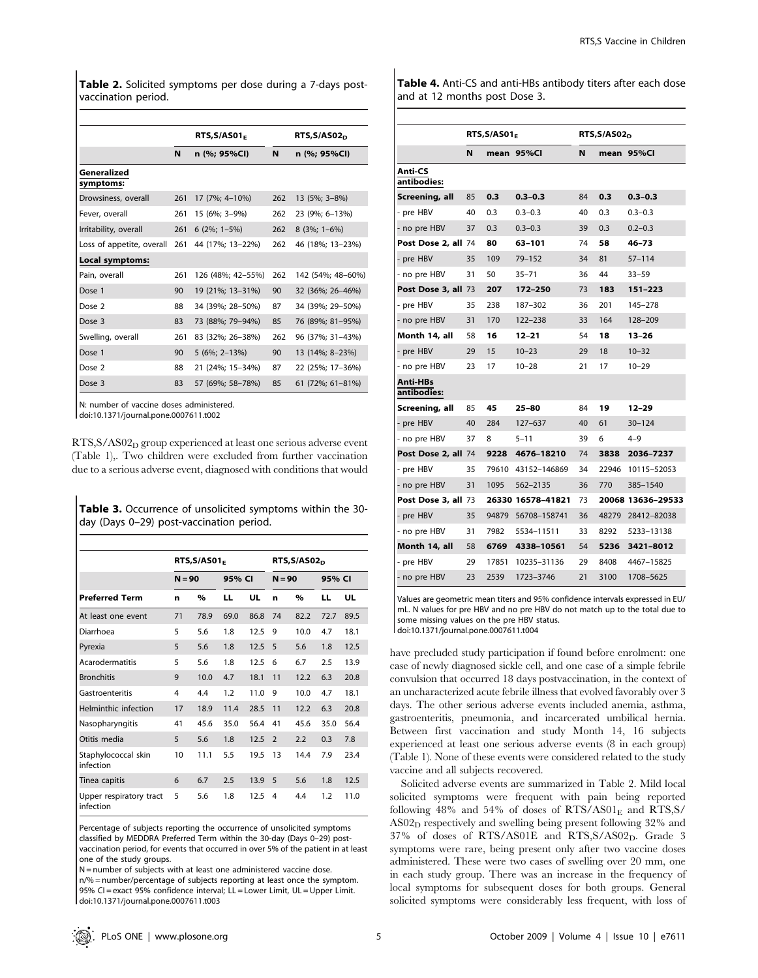Table 2. Solicited symptoms per dose during a 7-days postvaccination period.

|                           |     | RTS, S/AS01 <sub>F</sub> | RTS, S/AS02 <sub>n</sub> |                   |  |
|---------------------------|-----|--------------------------|--------------------------|-------------------|--|
|                           | N   | n (%: 95%Cl)             | N                        | n (%; 95%Cl)      |  |
| Generalized<br>symptoms:  |     |                          |                          |                   |  |
| Drowsiness, overall       | 261 | $17(7\%; 4-10\%)$        | 262                      | $13(5\%; 3-8\%)$  |  |
| Fever, overall            | 261 | $15(6\%; 3-9\%)$         | 262                      | 23 (9%; 6-13%)    |  |
| Irritability, overall     | 261 | $6(2\%; 1-5\%)$          | 262                      | $8(3\%; 1-6\%)$   |  |
| Loss of appetite, overall | 261 | 44 (17%; 13–22%)         | 262                      | 46 (18%: 13-23%)  |  |
| Local symptoms:           |     |                          |                          |                   |  |
| Pain, overall             | 261 | 126 (48%; 42–55%)        | 262                      | 142 (54%: 48-60%) |  |
| Dose 1                    | 90  | 19 (21%; 13-31%)         | 90                       | 32 (36%: 26-46%)  |  |
| Dose 2                    | 88  | 34 (39%; 28-50%)         | 87                       | 34 (39%; 29-50%)  |  |
| Dose 3                    | 83  | 73 (88%; 79–94%)         | 85                       | 76 (89%; 81–95%)  |  |
| Swelling, overall         | 261 | 83 (32%; 26–38%)         | 262                      | 96 (37%; 31–43%)  |  |
| Dose 1                    | 90  | $5(6\%; 2-13\%)$         | 90                       | 13 (14%; 8-23%)   |  |
| Dose 2                    | 88  | 21 (24%; 15–34%)         | 87                       | 22 (25%; 17-36%)  |  |
| Dose 3                    | 83  | 57 (69%; 58–78%)         | 85                       | 61 (72%; 61–81%)  |  |

N: number of vaccine doses administered.

doi:10.1371/journal.pone.0007611.t002

 $RTS, S/AS02<sub>D</sub>$  group experienced at least one serious adverse event (Table 1),. Two children were excluded from further vaccination due to a serious adverse event, diagnosed with conditions that would

Table 3. Occurrence of unsolicited symptoms within the 30day (Days 0–29) post-vaccination period.

|                                      |    | RTS, S/AS01 <sub>E</sub> |      |        |               | RTS, S/AS02 <sub>n</sub> |      |        |  |
|--------------------------------------|----|--------------------------|------|--------|---------------|--------------------------|------|--------|--|
|                                      |    | $N = 90$                 |      | 95% CI |               | $N = 90$                 |      | 95% CI |  |
| <b>Preferred Term</b>                | n  | $\alpha$                 | LL   | UL     | n             | $\alpha$                 | ш.   | UL     |  |
| At least one event                   | 71 | 78.9                     | 69.0 | 86.8   | 74            | 82.2                     | 72.7 | 89.5   |  |
| Diarrhoea                            | 5  | 5.6                      | 1.8  | 12.5   | 9             | 10.0                     | 4.7  | 18.1   |  |
| Pyrexia                              | 5  | 5.6                      | 1.8  | 12.5   | 5             | 5.6                      | 1.8  | 12.5   |  |
| Acarodermatitis                      | 5  | 5.6                      | 1.8  | 12.5   | 6             | 6.7                      | 2.5  | 13.9   |  |
| <b>Bronchitis</b>                    | 9  | 10.0                     | 4.7  | 18.1   | 11            | 12.2                     | 6.3  | 20.8   |  |
| Gastroenteritis                      | 4  | 4.4                      | 1.2  | 11.0   | 9             | 10.0                     | 4.7  | 18.1   |  |
| Helminthic infection                 | 17 | 18.9                     | 11.4 | 28.5   | 11            | 12.2                     | 6.3  | 20.8   |  |
| Nasopharyngitis                      | 41 | 45.6                     | 35.0 | 56.4   | 41            | 45.6                     | 35.0 | 56.4   |  |
| Otitis media                         | 5  | 5.6                      | 1.8  | 12.5   | $\mathcal{P}$ | 2.2                      | 0.3  | 7.8    |  |
| Staphylococcal skin<br>infection     | 10 | 11.1                     | 5.5  | 19.5   | 13            | 14.4                     | 7.9  | 23.4   |  |
| Tinea capitis                        | 6  | 6.7                      | 2.5  | 13.9   | 5             | 5.6                      | 1.8  | 12.5   |  |
| Upper respiratory tract<br>infection | 5  | 5.6                      | 1.8  | 12.5   | 4             | 4.4                      | 1.2  | 11.0   |  |

Percentage of subjects reporting the occurrence of unsolicited symptoms classified by MEDDRA Preferred Term within the 30-day (Days 0–29) postvaccination period, for events that occurred in over 5% of the patient in at least one of the study groups.

N = number of subjects with at least one administered vaccine dose. n/% = number/percentage of subjects reporting at least once the symptom. 95% CI = exact 95% confidence interval: LL = Lower Limit, UL = Upper Limit. doi:10.1371/journal.pone.0007611.t003

Table 4. Anti-CS and anti-HBs antibody titers after each dose and at 12 months post Dose 3.

|                         | $RTS, S/AS01_F$ |       |                    | $RTS, S/AS02_D$ |       |                   |  |
|-------------------------|-----------------|-------|--------------------|-----------------|-------|-------------------|--|
|                         | N               |       | mean 95%Cl         | N               |       | mean 95%Cl        |  |
| Anti-CS<br>antibodies:  |                 |       |                    |                 |       |                   |  |
| Screening, all          | 85              | 0.3   | $0.3 - 0.3$        | 84              | 0.3   | $0.3 - 0.3$       |  |
| - pre HBV               | 40              | 0.3   | $0.3 - 0.3$        | 40              | 0.3   | $0.3 - 0.3$       |  |
| - no pre HBV            | 37              | 0.3   | $0.3 - 0.3$        | 39              | 0.3   | $0.2 - 0.3$       |  |
| Post Dose 2, all 74     |                 | 80    | 63-101             | 74              | 58    | $46 - 73$         |  |
| - pre HBV               | 35              | 109   | $79 - 152$         | 34              | 81    | $57 - 114$        |  |
| - no pre HBV            | 31              | 50    | $35 - 71$          | 36              | 44    | $33 - 59$         |  |
| Post Dose 3, all 73     |                 | 207   | 172-250            | 73              | 183   | $151 - 223$       |  |
| - pre HBV               | 35              | 238   | 187-302            | 36              | 201   | 145-278           |  |
| - no pre HBV            | 31              | 170   | $122 - 238$        | 33              | 164   | 128-209           |  |
| Month 14, all           | 58              | 16    | $12 - 21$          | 54              | 18    | 13-26             |  |
| - pre HBV               | 29              | 15    | $10 - 23$          | 29              | 18    | $10 - 32$         |  |
| - no pre HBV            | 23              | 17    | $10 - 28$          | 21              | 17    | $10 - 29$         |  |
| Anti-HBs<br>antibodies: |                 |       |                    |                 |       |                   |  |
| Screening, all          | 85              | 45    | 25-80              | 84              | 19    | $12 - 29$         |  |
| - pre HBV               | 40              | 284   | 127-637            | 40              | 61    | $30 - 124$        |  |
| - no pre HBV            | 37              | 8     | $5 - 11$           | 39              | 6     | $4 - 9$           |  |
| Post Dose 2, all 74     |                 | 9228  | 4676-18210         | 74              | 3838  | 2036-7237         |  |
| - pre HBV               | 35              | 79610 | 43152-146869       | 34              | 22946 | 10115-52053       |  |
| - no pre HBV            | 31              | 1095  | 562-2135           | 36              | 770   | 385-1540          |  |
| Post Dose 3, all 73     |                 |       | 26330 16578-41821  | 73              |       | 20068 13636-29533 |  |
| - pre HBV               | 35              |       | 94879 56708-158741 | 36              | 48279 | 28412-82038       |  |
| - no pre HBV            | 31              | 7982  | 5534-11511         | 33              | 8292  | 5233-13138        |  |
| Month 14, all           | 58              | 6769  | 4338-10561         | 54              | 5236  | 3421-8012         |  |
| - pre HBV               | 29              | 17851 | 10235-31136        | 29              | 8408  | 4467-15825        |  |
| - no pre HBV            | 23              | 2539  | 1723-3746          | 21              | 3100  | 1708-5625         |  |

Values are geometric mean titers and 95% confidence intervals expressed in EU/ mL. N values for pre HBV and no pre HBV do not match up to the total due to some missing values on the pre HBV status. doi:10.1371/journal.pone.0007611.t004

have precluded study participation if found before enrolment: one case of newly diagnosed sickle cell, and one case of a simple febrile convulsion that occurred 18 days postvaccination, in the context of an uncharacterized acute febrile illness that evolved favorably over 3 days. The other serious adverse events included anemia, asthma, gastroenteritis, pneumonia, and incarcerated umbilical hernia. Between first vaccination and study Month 14, 16 subjects experienced at least one serious adverse events (8 in each group) (Table 1). None of these events were considered related to the study vaccine and all subjects recovered.

Solicited adverse events are summarized in Table 2. Mild local solicited symptoms were frequent with pain being reported following 48% and 54% of doses of  $RTS/AS01<sub>E</sub>$  and  $RTS$ ,  $S/$ AS02D respectively and swelling being present following 32% and 37% of doses of RTS/AS01E and RTS, S/AS02p. Grade 3 symptoms were rare, being present only after two vaccine doses administered. These were two cases of swelling over 20 mm, one in each study group. There was an increase in the frequency of local symptoms for subsequent doses for both groups. General solicited symptoms were considerably less frequent, with loss of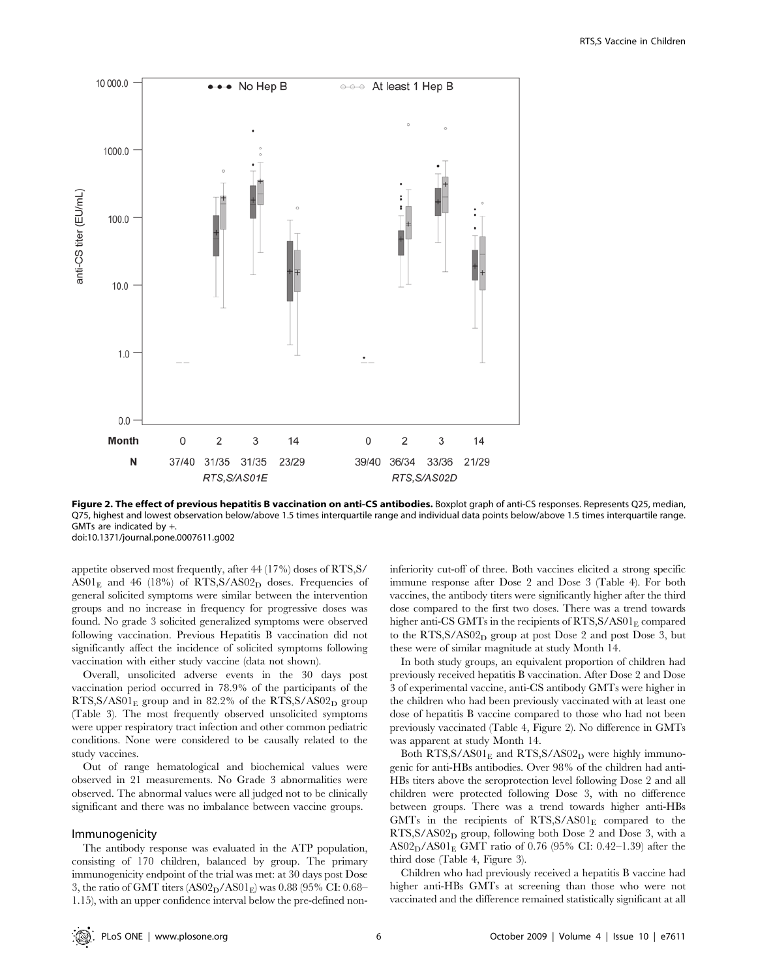![](_page_6_Figure_1.jpeg)

Figure 2. The effect of previous hepatitis B vaccination on anti-CS antibodies. Boxplot graph of anti-CS responses. Represents Q25, median, Q75, highest and lowest observation below/above 1.5 times interquartile range and individual data points below/above 1.5 times interquartile range. GMTs are indicated by +. doi:10.1371/journal.pone.0007611.g002

appetite observed most frequently, after 44 (17%) doses of RTS,S/  $AS01<sub>E</sub>$  and 46 (18%) of RTS, S/AS02<sub>D</sub> doses. Frequencies of general solicited symptoms were similar between the intervention groups and no increase in frequency for progressive doses was found. No grade 3 solicited generalized symptoms were observed following vaccination. Previous Hepatitis B vaccination did not significantly affect the incidence of solicited symptoms following vaccination with either study vaccine (data not shown).

Overall, unsolicited adverse events in the 30 days post vaccination period occurred in 78.9% of the participants of the  $RTS, S/AS01<sub>E</sub>$  group and in 82.2% of the RTS,  $S/AS02<sub>D</sub>$  group (Table 3). The most frequently observed unsolicited symptoms were upper respiratory tract infection and other common pediatric conditions. None were considered to be causally related to the study vaccines.

Out of range hematological and biochemical values were observed in 21 measurements. No Grade 3 abnormalities were observed. The abnormal values were all judged not to be clinically significant and there was no imbalance between vaccine groups.

#### Immunogenicity

The antibody response was evaluated in the ATP population, consisting of 170 children, balanced by group. The primary immunogenicity endpoint of the trial was met: at 30 days post Dose 3, the ratio of GMT titers  $(AS02_D/AS01_E)$  was 0.88 (95% CI: 0.68– 1.15), with an upper confidence interval below the pre-defined noninferiority cut-off of three. Both vaccines elicited a strong specific immune response after Dose 2 and Dose 3 (Table 4). For both vaccines, the antibody titers were significantly higher after the third dose compared to the first two doses. There was a trend towards higher anti-CS GMTs in the recipients of  $RTS$ , $S/AS01<sub>E</sub>$  compared to the  $RTS$ , $S/AS02<sub>D</sub>$  group at post Dose 2 and post Dose 3, but these were of similar magnitude at study Month 14.

In both study groups, an equivalent proportion of children had previously received hepatitis B vaccination. After Dose 2 and Dose 3 of experimental vaccine, anti-CS antibody GMTs were higher in the children who had been previously vaccinated with at least one dose of hepatitis B vaccine compared to those who had not been previously vaccinated (Table 4, Figure 2). No difference in GMTs was apparent at study Month 14.

Both  $RTS$ , $S/AS01<sub>E</sub>$  and  $RTS$ , $S/AS02<sub>D</sub>$  were highly immunogenic for anti-HBs antibodies. Over 98% of the children had anti-HBs titers above the seroprotection level following Dose 2 and all children were protected following Dose 3, with no difference between groups. There was a trend towards higher anti-HBs GMTs in the recipients of  $RTS$ ,  $S/AS01<sub>E</sub>$  compared to the  $RTS, S/AS02_D$  group, following both Dose 2 and Dose 3, with a  $AS02_D/AS01_E$  GMT ratio of 0.76 (95% CI: 0.42–1.39) after the third dose (Table 4, Figure 3).

Children who had previously received a hepatitis B vaccine had higher anti-HBs GMTs at screening than those who were not vaccinated and the difference remained statistically significant at all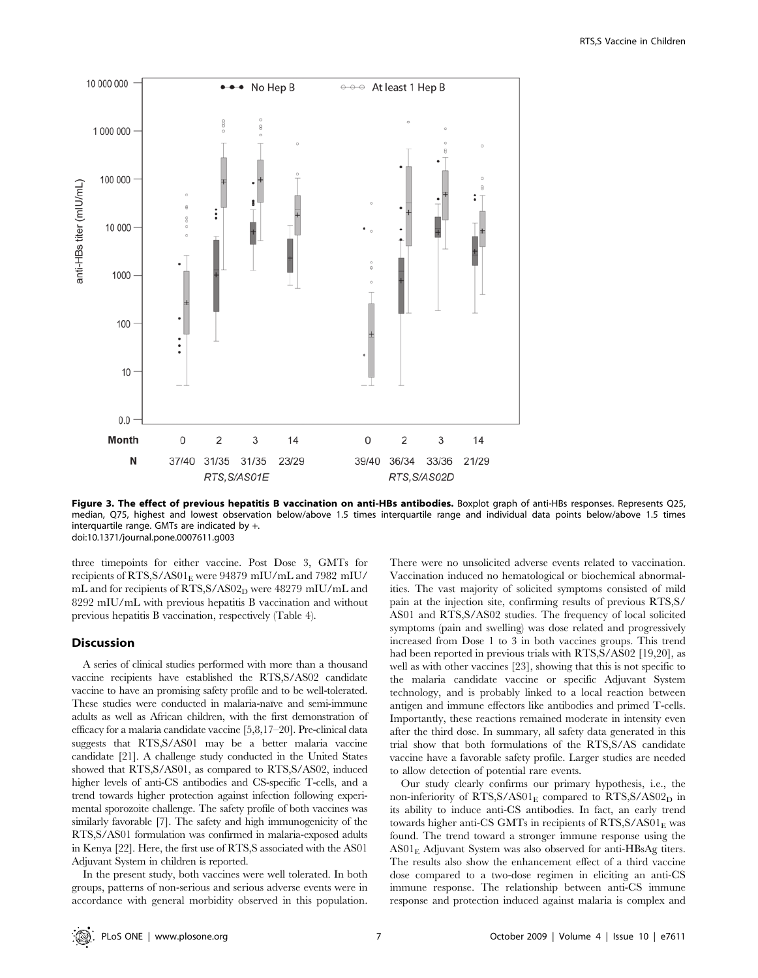![](_page_7_Figure_1.jpeg)

Figure 3. The effect of previous hepatitis B vaccination on anti-HBs antibodies. Boxplot graph of anti-HBs responses. Represents Q25, median, Q75, highest and lowest observation below/above 1.5 times interquartile range and individual data points below/above 1.5 times interquartile range. GMTs are indicated by +. doi:10.1371/journal.pone.0007611.g003

three timepoints for either vaccine. Post Dose 3, GMTs for recipients of  $RTS$ , $S/AS01<sub>E</sub>$  were 94879 mIU/mL and 7982 mIU/ mL and for recipients of  $RTS$ , $S/AS02_D$  were 48279 mIU/mL and 8292 mIU/mL with previous hepatitis B vaccination and without previous hepatitis B vaccination, respectively (Table 4).

# **Discussion**

A series of clinical studies performed with more than a thousand vaccine recipients have established the RTS,S/AS02 candidate vaccine to have an promising safety profile and to be well-tolerated. These studies were conducted in malaria-naïve and semi-immune adults as well as African children, with the first demonstration of efficacy for a malaria candidate vaccine [5,8,17–20]. Pre-clinical data suggests that RTS,S/AS01 may be a better malaria vaccine candidate [21]. A challenge study conducted in the United States showed that RTS,S/AS01, as compared to RTS,S/AS02, induced higher levels of anti-CS antibodies and CS-specific T-cells, and a trend towards higher protection against infection following experimental sporozoite challenge. The safety profile of both vaccines was similarly favorable [7]. The safety and high immunogenicity of the RTS,S/AS01 formulation was confirmed in malaria-exposed adults in Kenya [22]. Here, the first use of RTS,S associated with the AS01 Adjuvant System in children is reported.

In the present study, both vaccines were well tolerated. In both groups, patterns of non-serious and serious adverse events were in accordance with general morbidity observed in this population.

There were no unsolicited adverse events related to vaccination. Vaccination induced no hematological or biochemical abnormalities. The vast majority of solicited symptoms consisted of mild pain at the injection site, confirming results of previous RTS,S/ AS01 and RTS,S/AS02 studies. The frequency of local solicited symptoms (pain and swelling) was dose related and progressively increased from Dose 1 to 3 in both vaccines groups. This trend had been reported in previous trials with RTS,S/AS02 [19,20], as well as with other vaccines [23], showing that this is not specific to the malaria candidate vaccine or specific Adjuvant System technology, and is probably linked to a local reaction between antigen and immune effectors like antibodies and primed T-cells. Importantly, these reactions remained moderate in intensity even after the third dose. In summary, all safety data generated in this trial show that both formulations of the RTS,S/AS candidate vaccine have a favorable safety profile. Larger studies are needed to allow detection of potential rare events.

Our study clearly confirms our primary hypothesis, i.e., the non-inferiority of  $RTS$ , $S/AS01<sub>E</sub>$  compared to  $RTS$ , $S/AS02<sub>D</sub>$  in its ability to induce anti-CS antibodies. In fact, an early trend towards higher anti-CS GMTs in recipients of  $RTS, S/AS01<sub>E</sub>$  was found. The trend toward a stronger immune response using the  $AS01<sub>E</sub>$  Adjuvant System was also observed for anti-HBsAg titers. The results also show the enhancement effect of a third vaccine dose compared to a two-dose regimen in eliciting an anti-CS immune response. The relationship between anti-CS immune response and protection induced against malaria is complex and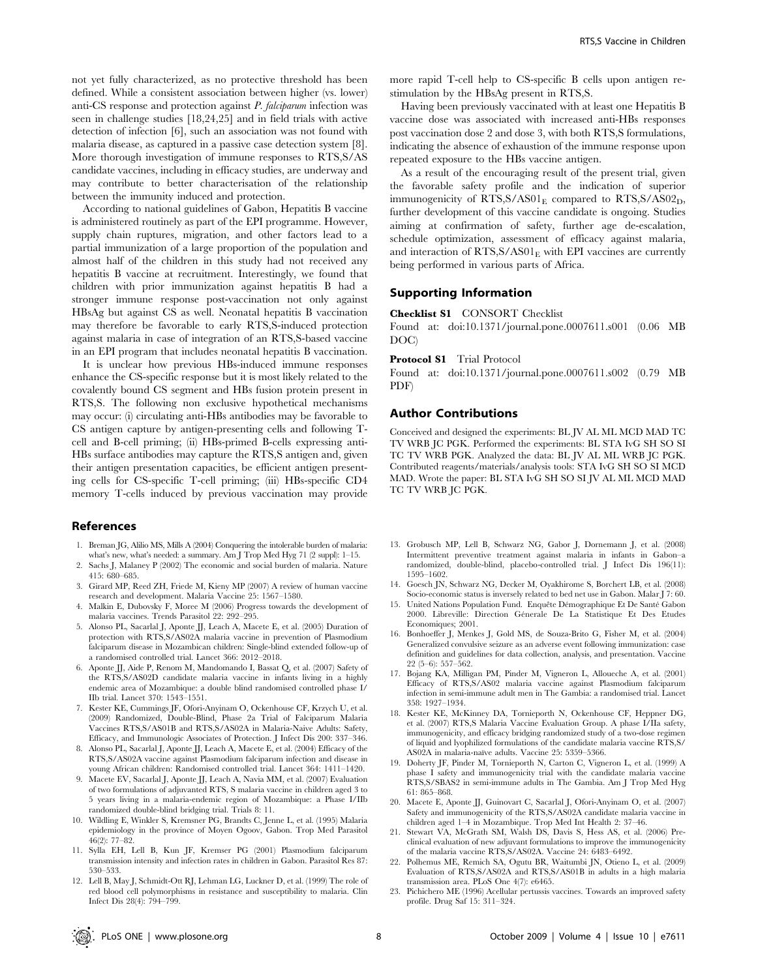not yet fully characterized, as no protective threshold has been defined. While a consistent association between higher (vs. lower) anti-CS response and protection against P. falciparum infection was seen in challenge studies [18,24,25] and in field trials with active detection of infection [6], such an association was not found with malaria disease, as captured in a passive case detection system [8]. More thorough investigation of immune responses to RTS,S/AS candidate vaccines, including in efficacy studies, are underway and may contribute to better characterisation of the relationship between the immunity induced and protection.

According to national guidelines of Gabon, Hepatitis B vaccine is administered routinely as part of the EPI programme. However, supply chain ruptures, migration, and other factors lead to a partial immunization of a large proportion of the population and almost half of the children in this study had not received any hepatitis B vaccine at recruitment. Interestingly, we found that children with prior immunization against hepatitis B had a stronger immune response post-vaccination not only against HBsAg but against CS as well. Neonatal hepatitis B vaccination may therefore be favorable to early RTS,S-induced protection against malaria in case of integration of an RTS,S-based vaccine in an EPI program that includes neonatal hepatitis B vaccination.

It is unclear how previous HBs-induced immune responses enhance the CS-specific response but it is most likely related to the covalently bound CS segment and HBs fusion protein present in RTS,S. The following non exclusive hypothetical mechanisms may occur: (i) circulating anti-HBs antibodies may be favorable to CS antigen capture by antigen-presenting cells and following Tcell and B-cell priming; (ii) HBs-primed B-cells expressing anti-HBs surface antibodies may capture the RTS,S antigen and, given their antigen presentation capacities, be efficient antigen presenting cells for CS-specific T-cell priming; (iii) HBs-specific CD4 memory T-cells induced by previous vaccination may provide

#### References

- 1. Breman JG, Alilio MS, Mills A (2004) Conquering the intolerable burden of malaria: what's new, what's needed: a summary. Am J Trop Med Hyg 71 (2 suppl): 1–15.
- 2. Sachs J, Malaney P (2002) The economic and social burden of malaria. Nature 415: 680–685.
- 3. Girard MP, Reed ZH, Friede M, Kieny MP (2007) A review of human vaccine research and development. Malaria Vaccine 25: 1567–1580.
- 4. Malkin E, Dubovsky F, Moree M (2006) Progress towards the development of malaria vaccines. Trends Parasitol 22: 292–295.
- 5. Alonso PL, Sacarlal J, Aponte JJ, Leach A, Macete E, et al. (2005) Duration of protection with RTS,S/AS02A malaria vaccine in prevention of Plasmodium falciparum disease in Mozambican children: Single-blind extended follow-up of a randomised controlled trial. Lancet 366: 2012–2018.
- 6. Aponte JJ, Aide P, Renom M, Mandomando I, Bassat Q, et al. (2007) Safety of the RTS,S/AS02D candidate malaria vaccine in infants living in a highly endemic area of Mozambique: a double blind randomised controlled phase I/ IIb trial. Lancet 370: 1543–1551.
- 7. Kester KE, Cummings JF, Ofori-Anyinam O, Ockenhouse CF, Krzych U, et al. (2009) Randomized, Double-Blind, Phase 2a Trial of Falciparum Malaria Vaccines RTS,S/AS01B and RTS,S/AS02A in Malaria-Naive Adults: Safety, Efficacy, and Immunologic Associates of Protection. J Infect Dis 200: 337–346.
- 8. Alonso PL, Sacarlal J, Aponte JJ, Leach A, Macete E, et al. (2004) Efficacy of the RTS,S/AS02A vaccine against Plasmodium falciparum infection and disease in young African children: Randomised controlled trial. Lancet 364: 1411–1420.
- 9. Macete EV, Sacarlal J, Aponte JJ, Leach A, Navia MM, et al. (2007) Evaluation of two formulations of adjuvanted RTS, S malaria vaccine in children aged 3 to 5 years living in a malaria-endemic region of Mozambique: a Phase I/IIb randomized double-blind bridging trial. Trials 8: 11.
- 10. Wildling E, Winkler S, Kremsner PG, Brandts C, Jenne L, et al. (1995) Malaria epidemiology in the province of Moyen Ogoov, Gabon. Trop Med Parasitol 46(2): 77–82.
- 11. Sylla EH, Lell B, Kun JF, Kremser PG (2001) Plasmodium falciparum transmission intensity and infection rates in children in Gabon. Parasitol Res 87: 530–533.
- 12. Lell B, May J, Schmidt-Ott RJ, Lehman LG, Luckner D, et al. (1999) The role of red blood cell polymorphisms in resistance and susceptibility to malaria. Clin Infect Dis 28(4): 794–799.

more rapid T-cell help to CS-specific B cells upon antigen restimulation by the HBsAg present in RTS,S.

Having been previously vaccinated with at least one Hepatitis B vaccine dose was associated with increased anti-HBs responses post vaccination dose 2 and dose 3, with both RTS,S formulations, indicating the absence of exhaustion of the immune response upon repeated exposure to the HBs vaccine antigen.

As a result of the encouraging result of the present trial, given the favorable safety profile and the indication of superior immunogenicity of  $RTS$ , $S/AS01<sub>E</sub>$  compared to  $RTS$ , $S/AS02<sub>D</sub>$ , further development of this vaccine candidate is ongoing. Studies aiming at confirmation of safety, further age de-escalation, schedule optimization, assessment of efficacy against malaria, and interaction of  $RTS$ , $S/AS01<sub>E</sub>$  with EPI vaccines are currently being performed in various parts of Africa.

#### Supporting Information

Checklist S1 CONSORT Checklist

Found at: doi:10.1371/journal.pone.0007611.s001 (0.06 MB DOC)

Protocol S1 Trial Protocol

Found at: doi:10.1371/journal.pone.0007611.s002 (0.79 MB PDF)

#### Author Contributions

Conceived and designed the experiments: BL JV AL ML MCD MAD TC TV WRB JC PGK. Performed the experiments: BL STA IvG SH SO SI TC TV WRB PGK. Analyzed the data: BL JV AL ML WRB JC PGK. Contributed reagents/materials/analysis tools: STA IvG SH SO SI MCD MAD. Wrote the paper: BL STA IvG SH SO SI JV AL ML MCD MAD TC TV WRB JC PGK.

- 13. Grobusch MP, Lell B, Schwarz NG, Gabor J, Dornemann J, et al. (2008) Intermittent preventive treatment against malaria in infants in Gabon–a randomized, double-blind, placebo-controlled trial. J Infect Dis 196(11): 1595–1602.
- 14. Goesch JN, Schwarz NG, Decker M, Oyakhirome S, Borchert LB, et al. (2008) Socio-economic status is inversely related to bed net use in Gabon. Malar J 7: 60.
- 15. United Nations Population Fund. Enquête Démographique Et De Santé Gabon 2000. Libreville: Direction Génerale De La Statistique Et Des Etudes Economiques; 2001.
- 16. Bonhoeffer J, Menkes J, Gold MS, de Souza-Brito G, Fisher M, et al. (2004) Generalized convulsive seizure as an adverse event following immunization: case definition and guidelines for data collection, analysis, and presentation. Vaccine 22 (5–6): 557–562.
- 17. Bojang KA, Milligan PM, Pinder M, Vigneron L, Alloueche A, et al. (2001) Efficacy of RTS,S/AS02 malaria vaccine against Plasmodium falciparum infection in semi-immune adult men in The Gambia: a randomised trial. Lancet 358: 1927–1934.
- 18. Kester KE, McKinney DA, Tornieporth N, Ockenhouse CF, Heppner DG, et al. (2007) RTS,S Malaria Vaccine Evaluation Group. A phase I/IIa safety, immunogenicity, and efficacy bridging randomized study of a two-dose regimen of liquid and lyophilized formulations of the candidate malaria vaccine RTS,S/ AS02A in malaria-naïve adults. Vaccine 25: 5359-5366.
- 19. Doherty JF, Pinder M, Tornieporth N, Carton C, Vigneron L, et al. (1999) A phase I safety and immunogenicity trial with the candidate malaria vaccine RTS,S/SBAS2 in semi-immune adults in The Gambia. Am J Trop Med Hyg 61: 865–868.
- 20. Macete E, Aponte JJ, Guinovart C, Sacarlal J, Ofori-Anyinam O, et al. (2007) Safety and immunogenicity of the RTS,S/AS02A candidate malaria vaccine in children aged 1–4 in Mozambique. Trop Med Int Health 2: 37–46.
- 21. Stewart VA, McGrath SM, Walsh DS, Davis S, Hess AS, et al. (2006) Preclinical evaluation of new adjuvant formulations to improve the immunogenicity of the malaria vaccine RTS,S/AS02A. Vaccine 24: 6483–6492.
- 22. Polhemus ME, Remich SA, Ogutu BR, Waitumbi JN, Otieno L, et al. (2009) Evaluation of RTS,S/AS02A and RTS,S/AS01B in adults in a high malaria transmission area. PLoS One 4(7): e6465.
- 23. Pichichero ME (1996) Acellular pertussis vaccines. Towards an improved safety profile. Drug Saf 15: 311–324.